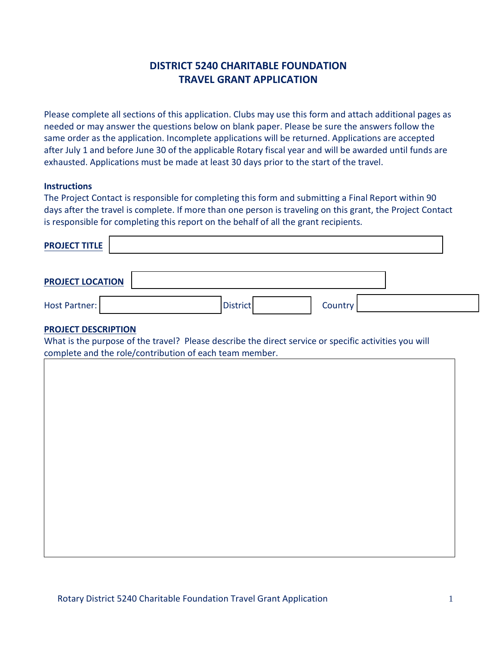# **DISTRICT 5240 CHARITABLE FOUNDATION TRAVEL GRANT APPLICATION**

Please complete all sections of this application. Clubs may use this form and attach additional pages as needed or may answer the questions below on blank paper. Please be sure the answers follow the same order as the application. Incomplete applications will be returned. Applications are accepted after July 1 and before June 30 of the applicable Rotary fiscal year and will be awarded until funds are exhausted. Applications must be made at least 30 days prior to the start of the travel.

### **Instructions**

The Project Contact is responsible for completing this form and submitting a Final Report within 90 days after the travel is complete. If more than one person is traveling on this grant, the Project Contact is responsible for completing this report on the behalf of all the grant recipients.

| <b>PROJECT TITLE</b>    |                 |         |  |
|-------------------------|-----------------|---------|--|
| <b>PROJECT LOCATION</b> |                 |         |  |
| Host Partner:           | <b>District</b> | Country |  |

### **PROJECT DESCRIPTION**

What is the purpose of the travel? Please describe the direct service or specific activities you will complete and the role/contribution of each team member.

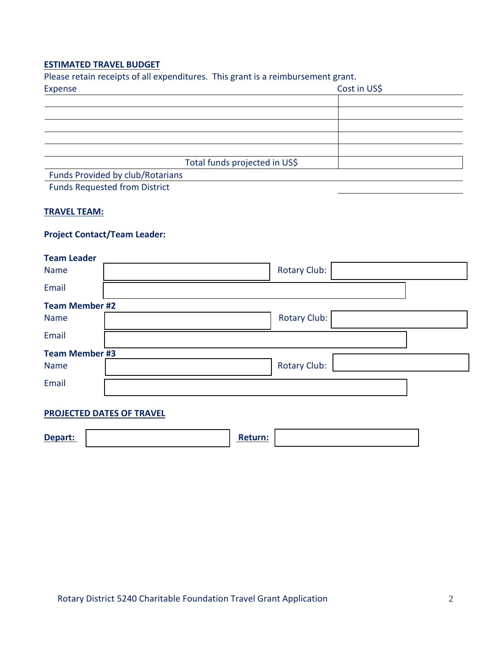### **ESTIMATED TRAVEL BUDGET**

| Please retain receipts of all expenditures. This grant is a reimbursement grant. |              |
|----------------------------------------------------------------------------------|--------------|
| Expense                                                                          | Cost in US\$ |
|                                                                                  |              |
|                                                                                  |              |
|                                                                                  |              |
|                                                                                  |              |
|                                                                                  |              |
| Total funds projected in US\$                                                    |              |
| Funds Provided by club/Rotarians                                                 |              |
| <b>Funds Requested from District</b>                                             |              |

### **TRAVEL TEAM:**

## **Project Contact/Team Leader:**

| <b>Team Leader</b>    |                     |  |
|-----------------------|---------------------|--|
| <b>Name</b>           | <b>Rotary Club:</b> |  |
| Email                 |                     |  |
| <b>Team Member #2</b> |                     |  |
| <b>Name</b>           | <b>Rotary Club:</b> |  |
| Email                 |                     |  |
| <b>Team Member #3</b> |                     |  |
| <b>Name</b>           | <b>Rotary Club:</b> |  |
| Email                 |                     |  |
|                       |                     |  |

## **PROJECTED DATES OF TRAVEL**

| Depart: |  | turn: |  |
|---------|--|-------|--|
|---------|--|-------|--|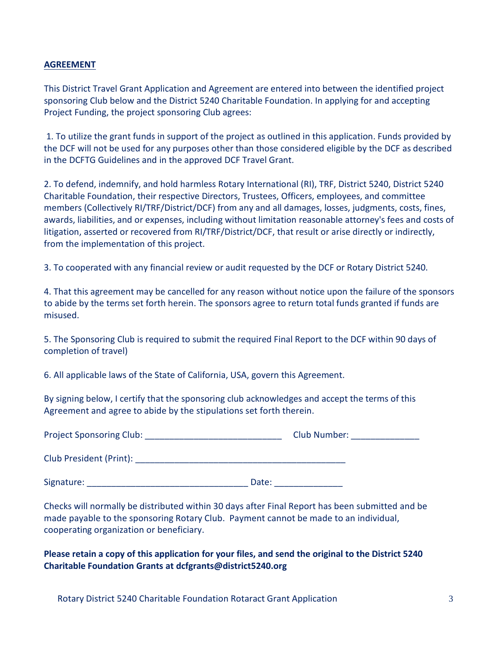### **AGREEMENT**

This District Travel Grant Application and Agreement are entered into between the identified project sponsoring Club below and the District 5240 Charitable Foundation. In applying for and accepting Project Funding, the project sponsoring Club agrees:

1. To utilize the grant funds in support of the project as outlined in this application. Funds provided by the DCF will not be used for any purposes other than those considered eligible by the DCF as described in the DCFTG Guidelines and in the approved DCF Travel Grant.

2. To defend, indemnify, and hold harmless Rotary International (RI), TRF, District 5240, District 5240 Charitable Foundation, their respective Directors, Trustees, Officers, employees, and committee members (Collectively RI/TRF/District/DCF) from any and all damages, losses, judgments, costs, fines, awards, liabilities, and or expenses, including without limitation reasonable attorney's fees and costs of litigation, asserted or recovered from RI/TRF/District/DCF, that result or arise directly or indirectly, from the implementation of this project.

3. To cooperated with any financial review or audit requested by the DCF or Rotary District 5240.

4. That this agreement may be cancelled for any reason without notice upon the failure of the sponsors to abide by the terms set forth herein. The sponsors agree to return total funds granted if funds are misused.

5. The Sponsoring Club is required to submit the required Final Report to the DCF within 90 days of completion of travel)

6. All applicable laws of the State of California, USA, govern this Agreement.

By signing below, I certify that the sponsoring club acknowledges and accept the terms of this Agreement and agree to abide by the stipulations set forth therein.

| <b>Project Sponsoring Club:</b> | Club Number: |
|---------------------------------|--------------|
| Club President (Print):         |              |
| Signature:                      | Date:        |

Checks will normally be distributed within 30 days after Final Report has been submitted and be made payable to the sponsoring Rotary Club. Payment cannot be made to an individual, cooperating organization or beneficiary.

**Please retain a copy of this application for your files, and send the original to the District 5240 Charitable Foundation Grants at dcfgrants@district5240.org**